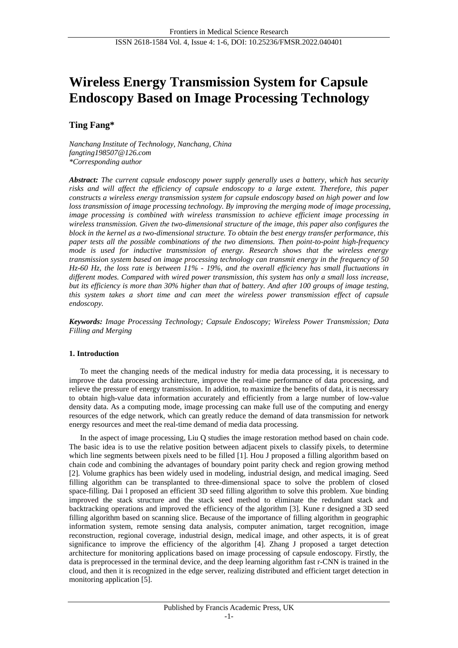# **Wireless Energy Transmission System for Capsule Endoscopy Based on Image Processing Technology**

# **Ting Fang\***

*Nanchang Institute of Technology, Nanchang, China fangting198507@126.com \*Corresponding author*

*Abstract: The current capsule endoscopy power supply generally uses a battery, which has security risks and will affect the efficiency of capsule endoscopy to a large extent. Therefore, this paper constructs a wireless energy transmission system for capsule endoscopy based on high power and low loss transmission of image processing technology. By improving the merging mode of image processing, image processing is combined with wireless transmission to achieve efficient image processing in wireless transmission. Given the two-dimensional structure of the image, this paper also configures the block in the kernel as a two-dimensional structure. To obtain the best energy transfer performance, this paper tests all the possible combinations of the two dimensions. Then point-to-point high-frequency mode is used for inductive transmission of energy. Research shows that the wireless energy transmission system based on image processing technology can transmit energy in the frequency of 50 Hz-60 Hz, the loss rate is between 11% - 19%, and the overall efficiency has small fluctuations in different modes. Compared with wired power transmission, this system has only a small loss increase, but its efficiency is more than 30% higher than that of battery. And after 100 groups of image testing, this system takes a short time and can meet the wireless power transmission effect of capsule endoscopy.*

*Keywords: Image Processing Technology; Capsule Endoscopy; Wireless Power Transmission; Data Filling and Merging*

## **1. Introduction**

To meet the changing needs of the medical industry for media data processing, it is necessary to improve the data processing architecture, improve the real-time performance of data processing, and relieve the pressure of energy transmission. In addition, to maximize the benefits of data, it is necessary to obtain high-value data information accurately and efficiently from a large number of low-value density data. As a computing mode, image processing can make full use of the computing and energy resources of the edge network, which can greatly reduce the demand of data transmission for network energy resources and meet the real-time demand of media data processing.

In the aspect of image processing, Liu Q studies the image restoration method based on chain code. The basic idea is to use the relative position between adjacent pixels to classify pixels, to determine which line segments between pixels need to be filled [1]. Hou J proposed a filling algorithm based on chain code and combining the advantages of boundary point parity check and region growing method [2]. Volume graphics has been widely used in modeling, industrial design, and medical imaging. Seed filling algorithm can be transplanted to three-dimensional space to solve the problem of closed space-filling. Dai l proposed an efficient 3D seed filling algorithm to solve this problem. Xue binding improved the stack structure and the stack seed method to eliminate the redundant stack and backtracking operations and improved the efficiency of the algorithm [3]. Kune r designed a 3D seed filling algorithm based on scanning slice. Because of the importance of filling algorithm in geographic information system, remote sensing data analysis, computer animation, target recognition, image reconstruction, regional coverage, industrial design, medical image, and other aspects, it is of great significance to improve the efficiency of the algorithm [4]. Zhang J proposed a target detection architecture for monitoring applications based on image processing of capsule endoscopy. Firstly, the data is preprocessed in the terminal device, and the deep learning algorithm fast r-CNN is trained in the cloud, and then it is recognized in the edge server, realizing distributed and efficient target detection in monitoring application [5].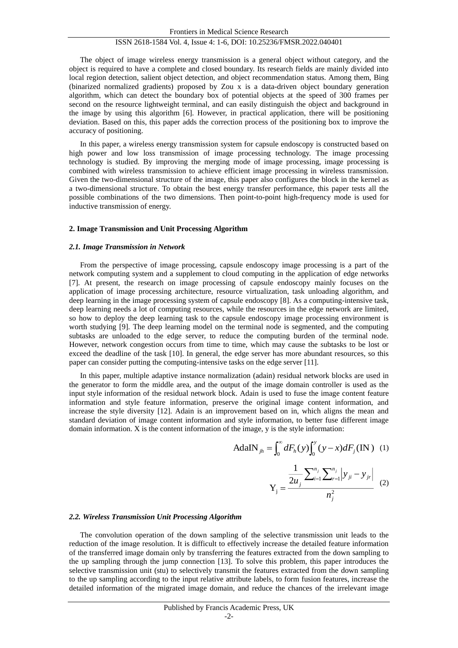## ISSN 2618-1584 Vol. 4, Issue 4: 1-6, DOI: 10.25236/FMSR.2022.040401

The object of image wireless energy transmission is a general object without category, and the object is required to have a complete and closed boundary. Its research fields are mainly divided into local region detection, salient object detection, and object recommendation status. Among them, Bing (binarized normalized gradients) proposed by Zou x is a data-driven object boundary generation algorithm, which can detect the boundary box of potential objects at the speed of 300 frames per second on the resource lightweight terminal, and can easily distinguish the object and background in the image by using this algorithm [6]. However, in practical application, there will be positioning deviation. Based on this, this paper adds the correction process of the positioning box to improve the accuracy of positioning.

In this paper, a wireless energy transmission system for capsule endoscopy is constructed based on high power and low loss transmission of image processing technology. The image processing technology is studied. By improving the merging mode of image processing, image processing is combined with wireless transmission to achieve efficient image processing in wireless transmission. Given the two-dimensional structure of the image, this paper also configures the block in the kernel as a two-dimensional structure. To obtain the best energy transfer performance, this paper tests all the possible combinations of the two dimensions. Then point-to-point high-frequency mode is used for inductive transmission of energy.

#### **2. Image Transmission and Unit Processing Algorithm**

#### *2.1. Image Transmission in Network*

From the perspective of image processing, capsule endoscopy image processing is a part of the network computing system and a supplement to cloud computing in the application of edge networks [7]. At present, the research on image processing of capsule endoscopy mainly focuses on the application of image processing architecture, resource virtualization, task unloading algorithm, and deep learning in the image processing system of capsule endoscopy [8]. As a computing-intensive task, deep learning needs a lot of computing resources, while the resources in the edge network are limited, so how to deploy the deep learning task to the capsule endoscopy image processing environment is worth studying [9]. The deep learning model on the terminal node is segmented, and the computing subtasks are unloaded to the edge server, to reduce the computing burden of the terminal node. However, network congestion occurs from time to time, which may cause the subtasks to be lost or exceed the deadline of the task [10]. In general, the edge server has more abundant resources, so this paper can consider putting the computing-intensive tasks on the edge server [11].

In this paper, multiple adaptive instance normalization (adain) residual network blocks are used in the generator to form the middle area, and the output of the image domain controller is used as the input style information of the residual network block. Adain is used to fuse the image content feature information and style feature information, preserve the original image content information, and increase the style diversity [12]. Adain is an improvement based on in, which aligns the mean and standard deviation of image content information and style information, to better fuse different image domain information. X is the content information of the image, y is the style information:

$$
AdalN_{jh} = \int_0^{\infty} dF_h(y) \int_0^y (y - x) dF_j(\text{IN}) \quad (1)
$$

$$
Y_{j} = \frac{\frac{1}{2u_{j}} \sum_{i=1}^{n_{j}} \sum_{r=1}^{n_{j}} |y_{ji} - y_{jr}|}{n_{j}^{2}}
$$
 (2)

#### *2.2. Wireless Transmission Unit Processing Algorithm*

The convolution operation of the down sampling of the selective transmission unit leads to the reduction of the image resolution. It is difficult to effectively increase the detailed feature information of the transferred image domain only by transferring the features extracted from the down sampling to the up sampling through the jump connection [13]. To solve this problem, this paper introduces the selective transmission unit (stu) to selectively transmit the features extracted from the down sampling to the up sampling according to the input relative attribute labels, to form fusion features, increase the detailed information of the migrated image domain, and reduce the chances of the irrelevant image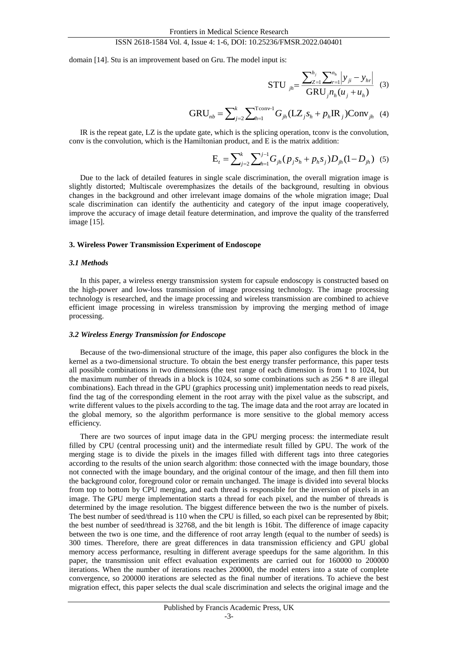## ISSN 2618-1584 Vol. 4, Issue 4: 1-6, DOI: 10.25236/FMSR.2022.040401

domain [14]. Stu is an improvement based on Gru. The model input is:

STU 
$$
_{jh}
$$
 = 
$$
\frac{\sum_{Z=1}^{h_j} \sum_{r=1}^{n_h} |y_{ji} - y_{hr}|}{GRU_j n_h (u_j + u_h)}
$$
 (3)

$$
GRU_{nb} = \sum_{j=2}^{k} \sum_{h=1}^{T_{\text{conv}}-1} G_{jh} (LZ_{j}S_{h} + p_{h} \text{IR}_{j}) \text{Conv}_{jh} \quad (4)
$$

IR is the repeat gate, LZ is the update gate, which is the splicing operation, tconv is the convolution, conv is the convolution, which is the Hamiltonian product, and E is the matrix addition:

$$
E_t = \sum_{j=2}^{k} \sum_{h=1}^{j-1} G_{jh} (p_j s_h + p_h s_j) D_{jh} (1 - D_{jh})
$$
 (5)

Due to the lack of detailed features in single scale discrimination, the overall migration image is slightly distorted; Multiscale overemphasizes the details of the background, resulting in obvious changes in the background and other irrelevant image domains of the whole migration image; Dual scale discrimination can identify the authenticity and category of the input image cooperatively, improve the accuracy of image detail feature determination, and improve the quality of the transferred image [15].

#### **3. Wireless Power Transmission Experiment of Endoscope**

#### *3.1 Methods*

In this paper, a wireless energy transmission system for capsule endoscopy is constructed based on the high-power and low-loss transmission of image processing technology. The image processing technology is researched, and the image processing and wireless transmission are combined to achieve efficient image processing in wireless transmission by improving the merging method of image processing.

#### *3.2 Wireless Energy Transmission for Endoscope*

Because of the two-dimensional structure of the image, this paper also configures the block in the kernel as a two-dimensional structure. To obtain the best energy transfer performance, this paper tests all possible combinations in two dimensions (the test range of each dimension is from 1 to 1024, but the maximum number of threads in a block is 1024, so some combinations such as 256 \* 8 are illegal combinations). Each thread in the GPU (graphics processing unit) implementation needs to read pixels, find the tag of the corresponding element in the root array with the pixel value as the subscript, and write different values to the pixels according to the tag. The image data and the root array are located in the global memory, so the algorithm performance is more sensitive to the global memory access efficiency.

There are two sources of input image data in the GPU merging process: the intermediate result filled by CPU (central processing unit) and the intermediate result filled by GPU. The work of the merging stage is to divide the pixels in the images filled with different tags into three categories according to the results of the union search algorithm: those connected with the image boundary, those not connected with the image boundary, and the original contour of the image, and then fill them into the background color, foreground color or remain unchanged. The image is divided into several blocks from top to bottom by CPU merging, and each thread is responsible for the inversion of pixels in an image. The GPU merge implementation starts a thread for each pixel, and the number of threads is determined by the image resolution. The biggest difference between the two is the number of pixels. The best number of seed/thread is 110 when the CPU is filled, so each pixel can be represented by 8bit; the best number of seed/thread is 32768, and the bit length is 16bit. The difference of image capacity between the two is one time, and the difference of root array length (equal to the number of seeds) is 300 times. Therefore, there are great differences in data transmission efficiency and GPU global memory access performance, resulting in different average speedups for the same algorithm. In this paper, the transmission unit effect evaluation experiments are carried out for 160000 to 200000 iterations. When the number of iterations reaches 200000, the model enters into a state of complete convergence, so 200000 iterations are selected as the final number of iterations. To achieve the best migration effect, this paper selects the dual scale discrimination and selects the original image and the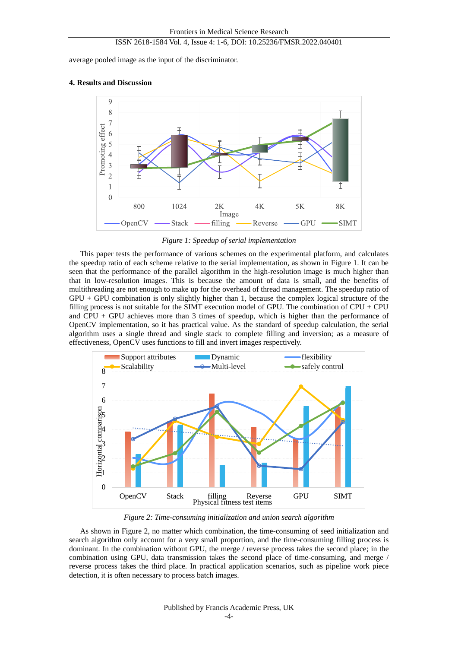average pooled image as the input of the discriminator.

## **4. Results and Discussion**



*Figure 1: Speedup of serial implementation*

This paper tests the performance of various schemes on the experimental platform, and calculates the speedup ratio of each scheme relative to the serial implementation, as shown in Figure 1. It can be seen that the performance of the parallel algorithm in the high-resolution image is much higher than that in low-resolution images. This is because the amount of data is small, and the benefits of multithreading are not enough to make up for the overhead of thread management. The speedup ratio of GPU + GPU combination is only slightly higher than 1, because the complex logical structure of the filling process is not suitable for the SIMT execution model of GPU. The combination of CPU + CPU and CPU + GPU achieves more than 3 times of speedup, which is higher than the performance of OpenCV implementation, so it has practical value. As the standard of speedup calculation, the serial algorithm uses a single thread and single stack to complete filling and inversion; as a measure of effectiveness, OpenCV uses functions to fill and invert images respectively.



*Figure 2: Time-consuming initialization and union search algorithm*

As shown in Figure 2, no matter which combination, the time-consuming of seed initialization and search algorithm only account for a very small proportion, and the time-consuming filling process is dominant. In the combination without GPU, the merge / reverse process takes the second place; in the combination using GPU, data transmission takes the second place of time-consuming, and merge / reverse process takes the third place. In practical application scenarios, such as pipeline work piece detection, it is often necessary to process batch images.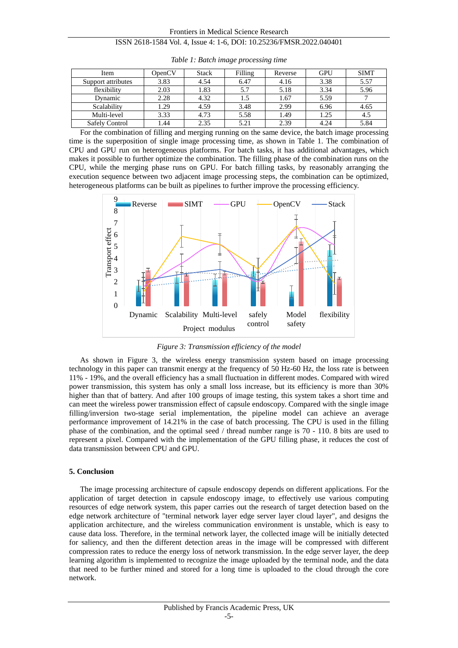| Item                  | OpenCV | <b>Stack</b> | Filling | Reverse | <b>GPU</b> | <b>SIMT</b> |
|-----------------------|--------|--------------|---------|---------|------------|-------------|
| Support attributes    | 3.83   | 4.54         | 6.47    | 4.16    | 3.38       | 5.57        |
| flexibility           | 2.03   | 1.83         |         | 5.18    | 3.34       | 5.96        |
| Dynamic               | 2.28   | 4.32         |         | 1.67    | 5.59       |             |
| Scalability           | 1.29   | 4.59         | 3.48    | 2.99    | 6.96       | 4.65        |
| Multi-level           | 3.33   | 4.73         | 5.58    | 1.49    | 1.25       | 4.5         |
| <b>Safely Control</b> | 1.44   | 2.35         | 5.21    | 2.39    | 4.24       | 5.84        |

*Table 1: Batch image processing time*

For the combination of filling and merging running on the same device, the batch image processing time is the superposition of single image processing time, as shown in Table 1. The combination of CPU and GPU run on heterogeneous platforms. For batch tasks, it has additional advantages, which makes it possible to further optimize the combination. The filling phase of the combination runs on the CPU, while the merging phase runs on GPU. For batch filling tasks, by reasonably arranging the execution sequence between two adjacent image processing steps, the combination can be optimized, heterogeneous platforms can be built as pipelines to further improve the processing efficiency.



*Figure 3: Transmission efficiency of the model*

As shown in Figure 3, the wireless energy transmission system based on image processing technology in this paper can transmit energy at the frequency of 50 Hz-60 Hz, the loss rate is between 11% - 19%, and the overall efficiency has a small fluctuation in different modes. Compared with wired power transmission, this system has only a small loss increase, but its efficiency is more than 30% higher than that of battery. And after 100 groups of image testing, this system takes a short time and can meet the wireless power transmission effect of capsule endoscopy. Compared with the single image filling/inversion two-stage serial implementation, the pipeline model can achieve an average performance improvement of 14.21% in the case of batch processing. The CPU is used in the filling phase of the combination, and the optimal seed / thread number range is 70 - 110. 8 bits are used to represent a pixel. Compared with the implementation of the GPU filling phase, it reduces the cost of data transmission between CPU and GPU.

## **5. Conclusion**

The image processing architecture of capsule endoscopy depends on different applications. For the application of target detection in capsule endoscopy image, to effectively use various computing resources of edge network system, this paper carries out the research of target detection based on the edge network architecture of "terminal network layer edge server layer cloud layer", and designs the application architecture, and the wireless communication environment is unstable, which is easy to cause data loss. Therefore, in the terminal network layer, the collected image will be initially detected for saliency, and then the different detection areas in the image will be compressed with different compression rates to reduce the energy loss of network transmission. In the edge server layer, the deep learning algorithm is implemented to recognize the image uploaded by the terminal node, and the data that need to be further mined and stored for a long time is uploaded to the cloud through the core network.